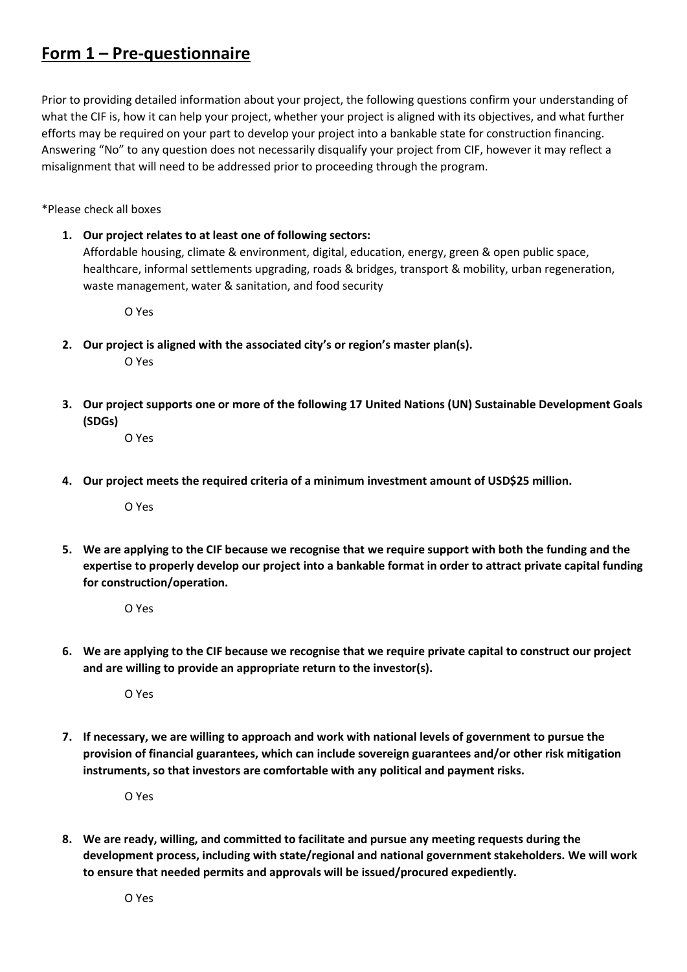## **Form 1 – Pre-questionnaire**

Prior to providing detailed information about your project, the following questions confirm your understanding of what the CIF is, how it can help your project, whether your project is aligned with its objectives, and what further efforts may be required on your part to develop your project into a bankable state for construction financing. Answering "No" to any question does not necessarily disqualify your project from CIF, however it may reflect a misalignment that will need to be addressed prior to proceeding through the program.

\*Please check all boxes

**1. Our project relates to at least one of following sectors:**  Affordable housing, climate & environment, digital, education, energy, green & open public space, healthcare, informal settlements upgrading, roads & bridges, transport & mobility, urban regeneration, waste management, water & sanitation, and food security

O Yes

**2. Our project is aligned with the associated city's or region's master plan(s).**

O Yes

**3. Our project supports one or more of the following 17 United Nations (UN) Sustainable Development Goals (SDGs)**

O Yes

**4. Our project meets the required criteria of a minimum investment amount of USD\$25 million.**

O Yes

**5. We are applying to the CIF because we recognise that we require support with both the funding and the expertise to properly develop our project into a bankable format in order to attract private capital funding for construction/operation.** 

O Yes

**6. We are applying to the CIF because we recognise that we require private capital to construct our project and are willing to provide an appropriate return to the investor(s).** 

O Yes

**7. If necessary, we are willing to approach and work with national levels of government to pursue the provision of financial guarantees, which can include sovereign guarantees and/or other risk mitigation instruments, so that investors are comfortable with any political and payment risks.** 

O Yes

**8. We are ready, willing, and committed to facilitate and pursue any meeting requests during the development process, including with state/regional and national government stakeholders. We will work to ensure that needed permits and approvals will be issued/procured expediently.**

O Yes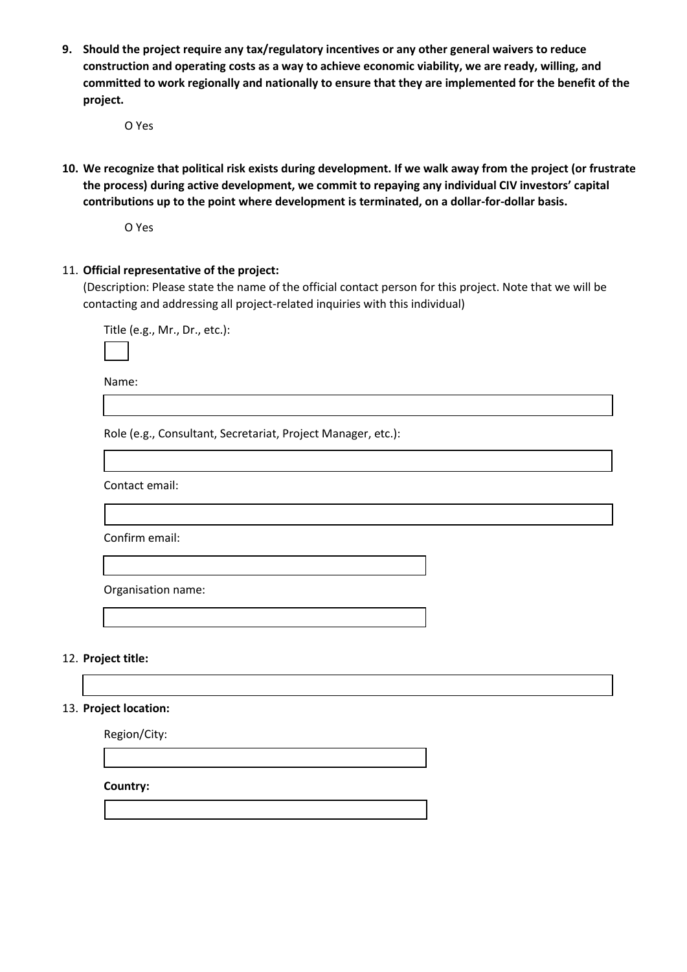**9. Should the project require any tax/regulatory incentives or any other general waivers to reduce construction and operating costs as a way to achieve economic viability, we are ready, willing, and committed to work regionally and nationally to ensure that they are implemented for the benefit of the project.** 

O Yes

**10. We recognize that political risk exists during development. If we walk away from the project (or frustrate the process) during active development, we commit to repaying any individual CIV investors' capital contributions up to the point where development is terminated, on a dollar-for-dollar basis.** 

O Yes

11. **Official representative of the project:** 

(Description: Please state the name of the official contact person for this project. Note that we will be contacting and addressing all project-related inquiries with this individual)

Title (e.g., Mr., Dr., etc.):

Name:

Role (e.g., Consultant, Secretariat, Project Manager, etc.):

Contact email:

Confirm email:

Organisation name:

12. **Project title:**

#### 13. **Project location:**

Region/City:

**Country:**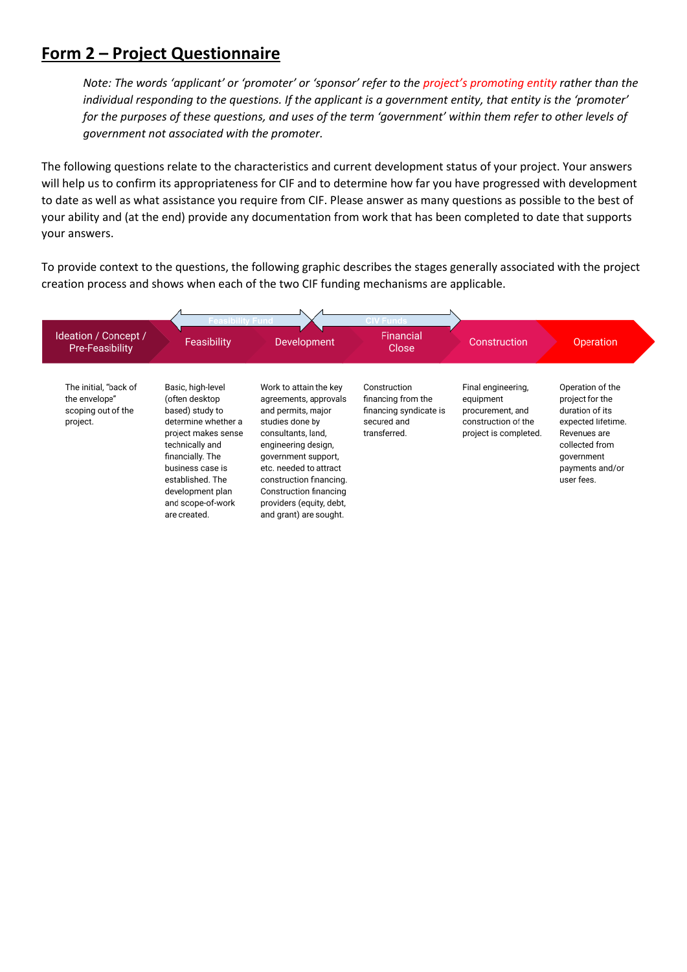# **Form 2 – Project Questionnaire**

*Note: The words 'applicant' or 'promoter' or 'sponsor' refer to the project's promoting entity rather than the individual responding to the questions. If the applicant is a government entity, that entity is the 'promoter' for the purposes of these questions, and uses of the term 'government' within them refer to other levels of government not associated with the promoter.*

The following questions relate to the characteristics and current development status of your project. Your answers will help us to confirm its appropriateness for CIF and to determine how far you have progressed with development to date as well as what assistance you require from CIF. Please answer as many questions as possible to the best of your ability and (at the end) provide any documentation from work that has been completed to date that supports your answers.

To provide context to the questions, the following graphic describes the stages generally associated with the project creation process and shows when each of the two CIF funding mechanisms are applicable.

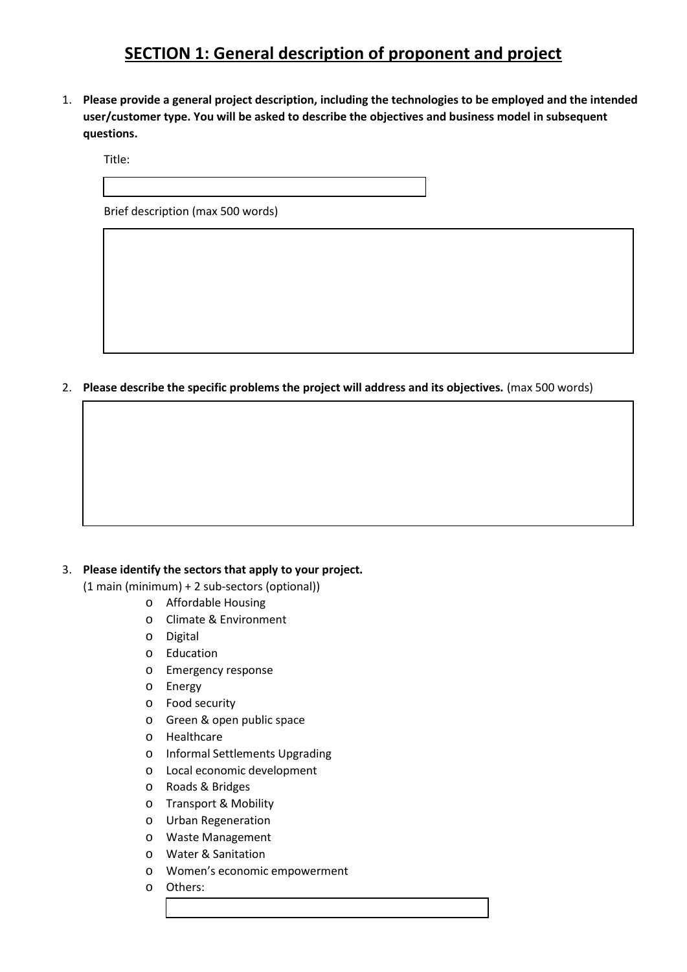# **SECTION 1: General description of proponent and project**

1. **Please provide a general project description, including the technologies to be employed and the intended user/customer type. You will be asked to describe the objectives and business model in subsequent questions.**

Title:

Brief description (max 500 words)

2. **Please describe the specific problems the project will address and its objectives.** (max 500 words)

#### 3. **Please identify the sectors that apply to your project.**

(1 main (minimum) + 2 sub-sectors (optional))

- o Affordable Housing
- o Climate & Environment
- o Digital
- o Education
- o Emergency response
- o Energy
- o Food security
- o Green & open public space
- o Healthcare
- o Informal Settlements Upgrading
- o Local economic development
- o Roads & Bridges
- o Transport & Mobility
- o Urban Regeneration
- o Waste Management
- o Water & Sanitation
- o Women's economic empowerment
- o Others: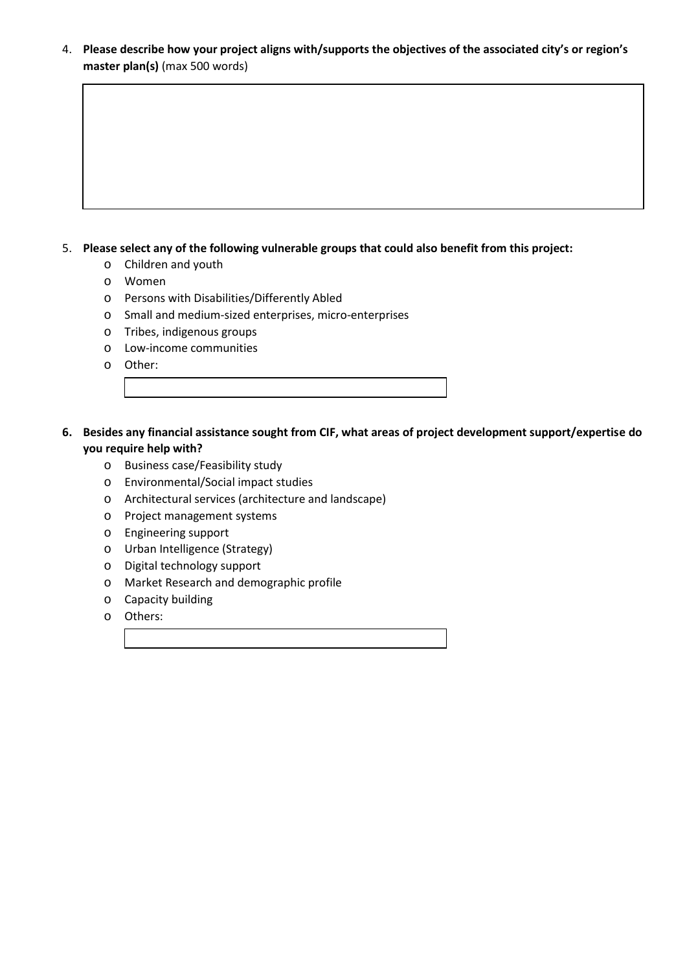4. **Please describe how your project aligns with/supports the objectives of the associated city's or region's master plan(s)** (max 500 words)

#### 5. **Please select any of the following vulnerable groups that could also benefit from this project:**

- o Children and youth
- o Women
- o Persons with Disabilities/Differently Abled
- o Small and medium-sized enterprises, micro-enterprises
- o Tribes, indigenous groups
- o Low-income communities
- o Other:
- **6. Besides any financial assistance sought from CIF, what areas of project development support/expertise do you require help with?** 
	- o Business case/Feasibility study
	- o Environmental/Social impact studies
	- o Architectural services (architecture and landscape)
	- o Project management systems
	- o Engineering support
	- o Urban Intelligence (Strategy)
	- o Digital technology support
	- o Market Research and demographic profile
	- o Capacity building
	- o Others: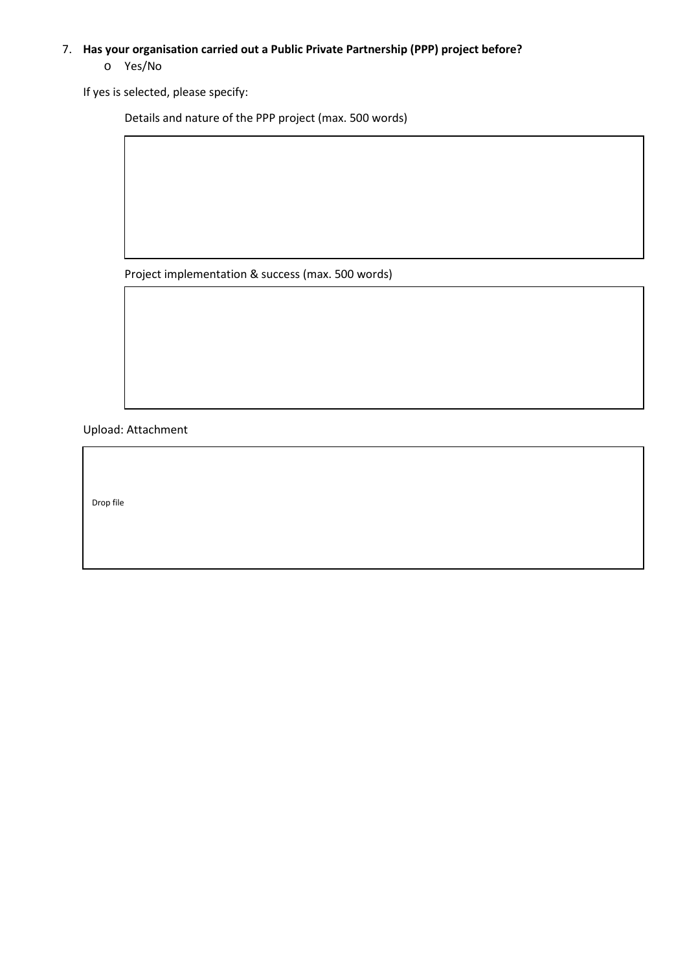## 7. **Has your organisation carried out a Public Private Partnership (PPP) project before?**

#### o Yes/No

If yes is selected, please specify:

Details and nature of the PPP project (max. 500 words)

Project implementation & success (max. 500 words)

Upload: Attachment

Drop file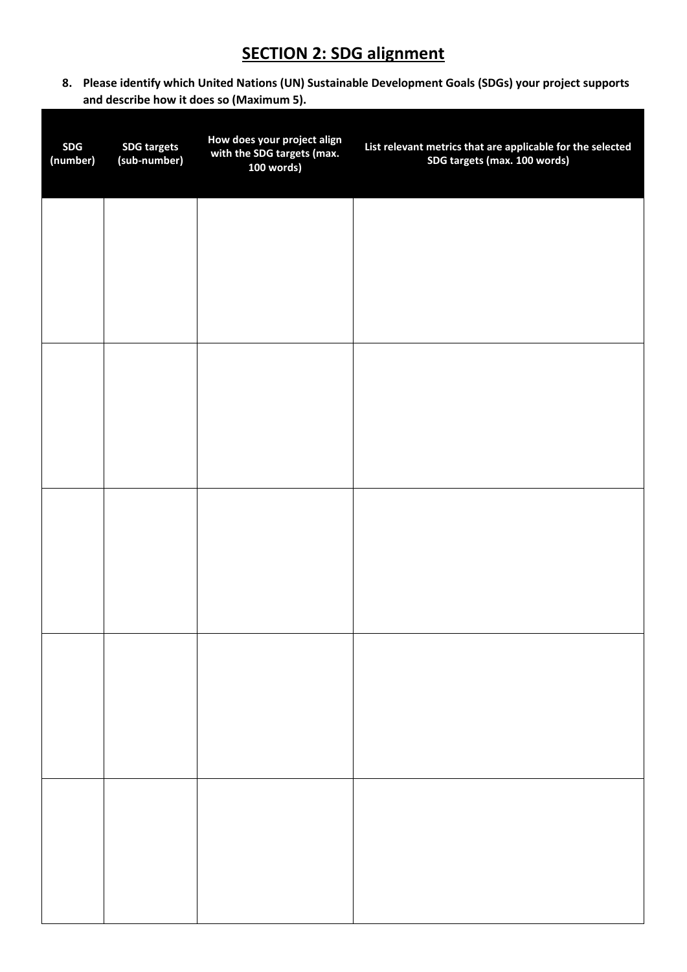# **SECTION 2: SDG alignment**

**8. Please identify which United Nations (UN) Sustainable Development Goals (SDGs) your project supports and describe how it does so (Maximum 5).**

| <b>SDG</b><br>(number) | <b>SDG targets</b><br>(sub-number) | How does your project align<br>with the SDG targets (max.<br>100 words) | List relevant metrics that are applicable for the selected<br>SDG targets (max. 100 words) |
|------------------------|------------------------------------|-------------------------------------------------------------------------|--------------------------------------------------------------------------------------------|
|                        |                                    |                                                                         |                                                                                            |
|                        |                                    |                                                                         |                                                                                            |
|                        |                                    |                                                                         |                                                                                            |
|                        |                                    |                                                                         |                                                                                            |
|                        |                                    |                                                                         |                                                                                            |
|                        |                                    |                                                                         |                                                                                            |
|                        |                                    |                                                                         |                                                                                            |
|                        |                                    |                                                                         |                                                                                            |
|                        |                                    |                                                                         |                                                                                            |
|                        |                                    |                                                                         |                                                                                            |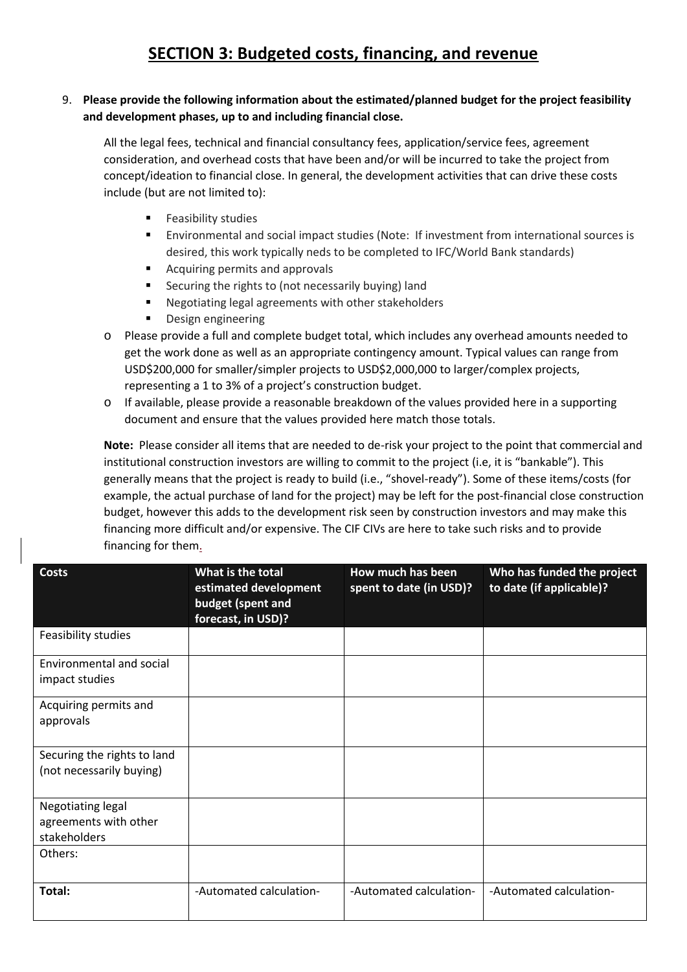### 9. **Please provide the following information about the estimated/planned budget for the project feasibility and development phases, up to and including financial close.**

All the legal fees, technical and financial consultancy fees, application/service fees, agreement consideration, and overhead costs that have been and/or will be incurred to take the project from concept/ideation to financial close. In general, the development activities that can drive these costs include (but are not limited to):

- Feasibility studies
- Environmental and social impact studies (Note: If investment from international sources is desired, this work typically neds to be completed to IFC/World Bank standards)
- Acquiring permits and approvals
- Securing the rights to (not necessarily buying) land
- Negotiating legal agreements with other stakeholders
- Design engineering
- o Please provide a full and complete budget total, which includes any overhead amounts needed to get the work done as well as an appropriate contingency amount. Typical values can range from USD\$200,000 for smaller/simpler projects to USD\$2,000,000 to larger/complex projects, representing a 1 to 3% of a project's construction budget.
- o If available, please provide a reasonable breakdown of the values provided here in a supporting document and ensure that the values provided here match those totals.

**Note:** Please consider all items that are needed to de-risk your project to the point that commercial and institutional construction investors are willing to commit to the project (i.e, it is "bankable"). This generally means that the project is ready to build (i.e., "shovel-ready"). Some of these items/costs (for example, the actual purchase of land for the project) may be left for the post-financial close construction budget, however this adds to the development risk seen by construction investors and may make this financing more difficult and/or expensive. The CIF CIVs are here to take such risks and to provide financing for them.

| <b>Costs</b>                                               | What is the total<br>estimated development<br>budget (spent and<br>forecast, in USD)? | How much has been<br>spent to date (in USD)? | Who has funded the project<br>to date (if applicable)? |
|------------------------------------------------------------|---------------------------------------------------------------------------------------|----------------------------------------------|--------------------------------------------------------|
| Feasibility studies                                        |                                                                                       |                                              |                                                        |
| Environmental and social<br>impact studies                 |                                                                                       |                                              |                                                        |
| Acquiring permits and<br>approvals                         |                                                                                       |                                              |                                                        |
| Securing the rights to land<br>(not necessarily buying)    |                                                                                       |                                              |                                                        |
| Negotiating legal<br>agreements with other<br>stakeholders |                                                                                       |                                              |                                                        |
| Others:                                                    |                                                                                       |                                              |                                                        |
| Total:                                                     | -Automated calculation-                                                               | -Automated calculation-                      | -Automated calculation-                                |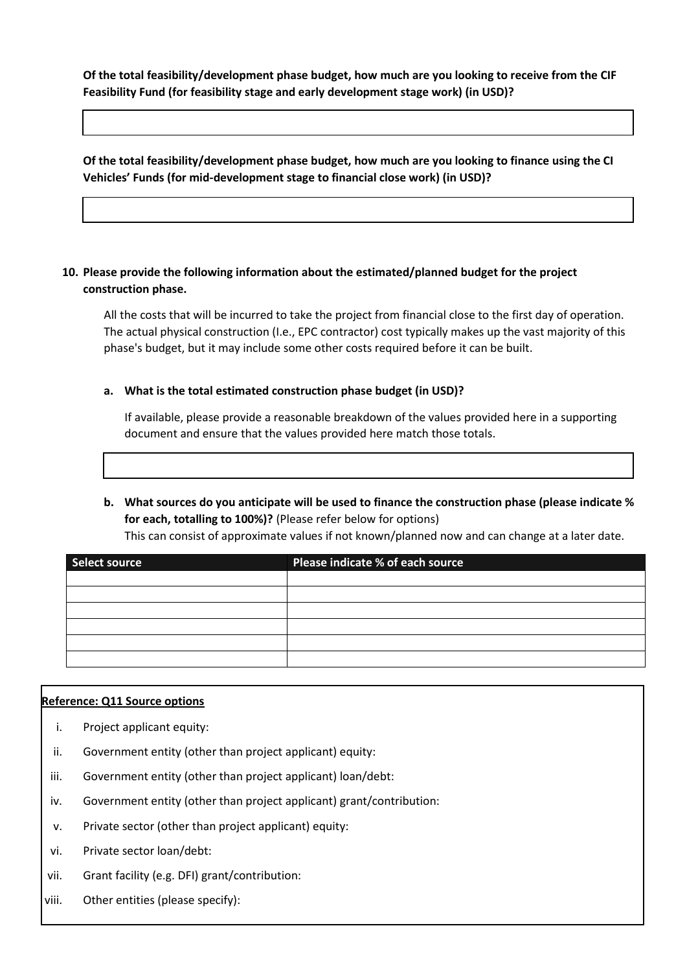**Of the total feasibility/development phase budget, how much are you looking to receive from the CIF Feasibility Fund (for feasibility stage and early development stage work) (in USD)?**

**Of the total feasibility/development phase budget, how much are you looking to finance using the CI Vehicles' Funds (for mid-development stage to financial close work) (in USD)?**

### **10. Please provide the following information about the estimated/planned budget for the project construction phase.**

All the costs that will be incurred to take the project from financial close to the first day of operation. The actual physical construction (I.e., EPC contractor) cost typically makes up the vast majority of this phase's budget, but it may include some other costs required before it can be built.

**a. What is the total estimated construction phase budget (in USD)?**

If available, please provide a reasonable breakdown of the values provided here in a supporting document and ensure that the values provided here match those totals.

### **b. What sources do you anticipate will be used to finance the construction phase (please indicate % for each, totalling to 100%)?** (Please refer below for options) This can consist of approximate values if not known/planned now and can change at a later date.

| Select source | Please indicate % of each source |  |  |
|---------------|----------------------------------|--|--|
|               |                                  |  |  |
|               |                                  |  |  |
|               |                                  |  |  |
|               |                                  |  |  |
|               |                                  |  |  |
|               |                                  |  |  |

#### **Reference: Q11 Source options**

- i. Project applicant equity:
- ii. Government entity (other than project applicant) equity:
- iii. Government entity (other than project applicant) loan/debt:
- iv. Government entity (other than project applicant) grant/contribution:
- v. Private sector (other than project applicant) equity:
- vi. Private sector loan/debt:
- vii. Grant facility (e.g. DFI) grant/contribution:
- viii. Other entities (please specify):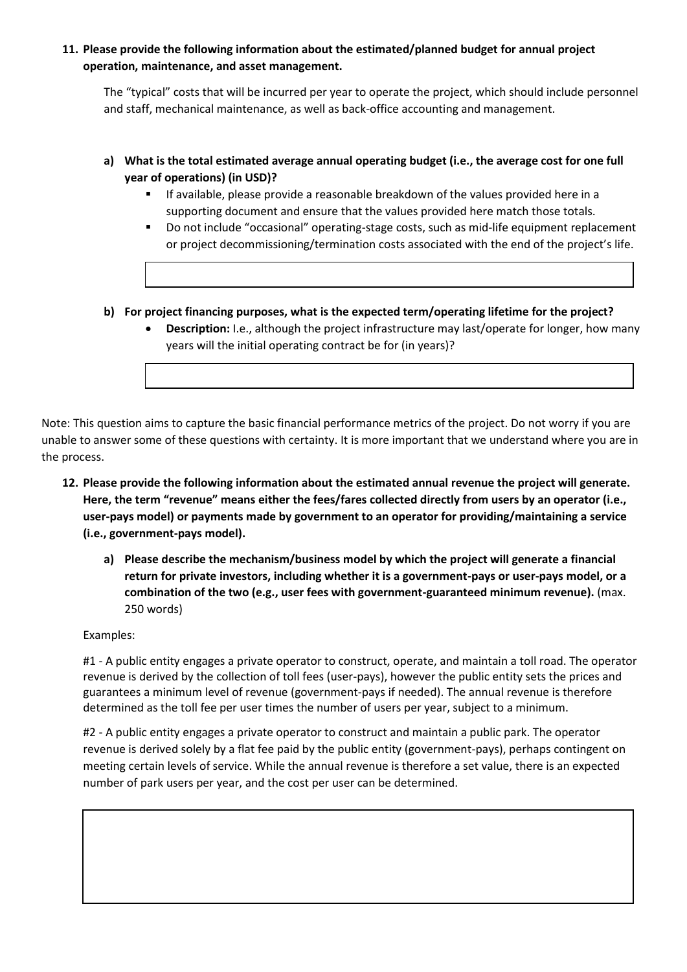**11. Please provide the following information about the estimated/planned budget for annual project operation, maintenance, and asset management.**

The "typical" costs that will be incurred per year to operate the project, which should include personnel and staff, mechanical maintenance, as well as back-office accounting and management.

- **a) What is the total estimated average annual operating budget (i.e., the average cost for one full year of operations) (in USD)?** 
	- **■** If available, please provide a reasonable breakdown of the values provided here in a supporting document and ensure that the values provided here match those totals.
	- Do not include "occasional" operating-stage costs, such as mid-life equipment replacement or project decommissioning/termination costs associated with the end of the project's life.
- **b) For project financing purposes, what is the expected term/operating lifetime for the project?** 
	- **Description:** I.e., although the project infrastructure may last/operate for longer, how many years will the initial operating contract be for (in years)?

Note: This question aims to capture the basic financial performance metrics of the project. Do not worry if you are unable to answer some of these questions with certainty. It is more important that we understand where you are in the process.

- **12. Please provide the following information about the estimated annual revenue the project will generate. Here, the term "revenue" means either the fees/fares collected directly from users by an operator (i.e., user-pays model) or payments made by government to an operator for providing/maintaining a service (i.e., government-pays model).**
	- **a) Please describe the mechanism/business model by which the project will generate a financial return for private investors, including whether it is a government-pays or user-pays model, or a combination of the two (e.g., user fees with government-guaranteed minimum revenue).** (max. 250 words)

Examples:

#1 - A public entity engages a private operator to construct, operate, and maintain a toll road. The operator revenue is derived by the collection of toll fees (user-pays), however the public entity sets the prices and guarantees a minimum level of revenue (government-pays if needed). The annual revenue is therefore determined as the toll fee per user times the number of users per year, subject to a minimum.

#2 - A public entity engages a private operator to construct and maintain a public park. The operator revenue is derived solely by a flat fee paid by the public entity (government-pays), perhaps contingent on meeting certain levels of service. While the annual revenue is therefore a set value, there is an expected number of park users per year, and the cost per user can be determined.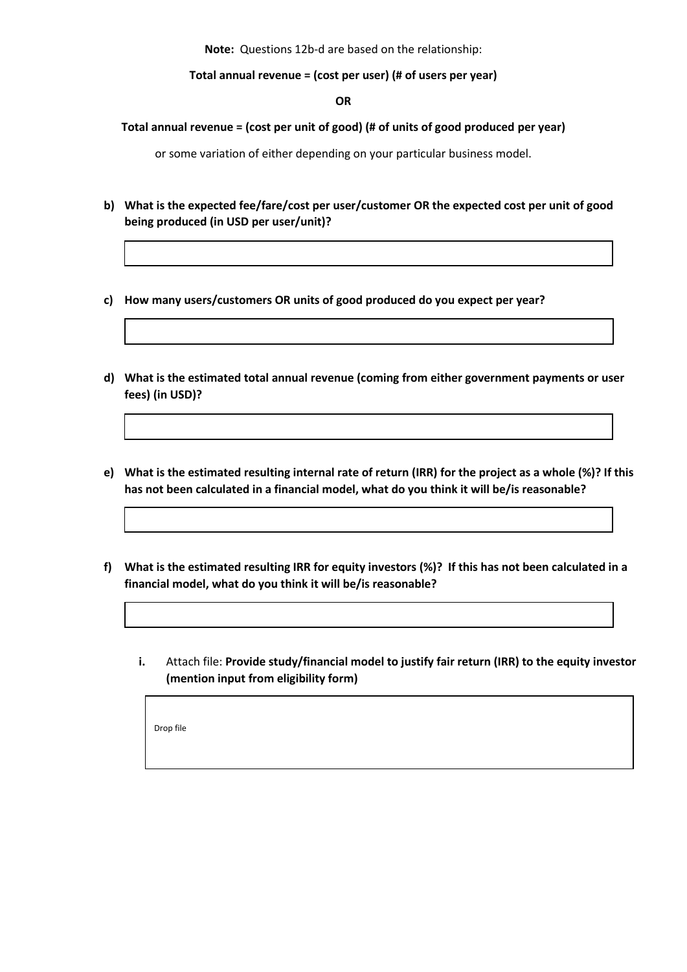**Note:** Questions 12b-d are based on the relationship:

**Total annual revenue = (cost per user) (# of users per year)**

**OR**

**Total annual revenue = (cost per unit of good) (# of units of good produced per year)**

or some variation of either depending on your particular business model.

- **b) What is the expected fee/fare/cost per user/customer OR the expected cost per unit of good being produced (in USD per user/unit)?**
- **c) How many users/customers OR units of good produced do you expect per year?**
- **d) What is the estimated total annual revenue (coming from either government payments or user fees) (in USD)?**
- **e) What is the estimated resulting internal rate of return (IRR) for the project as a whole (%)? If this has not been calculated in a financial model, what do you think it will be/is reasonable?**
- **f) What is the estimated resulting IRR for equity investors (%)? If this has not been calculated in a financial model, what do you think it will be/is reasonable?**
	- **i.** Attach file: **Provide study/financial model to justify fair return (IRR) to the equity investor (mention input from eligibility form)**

Drop file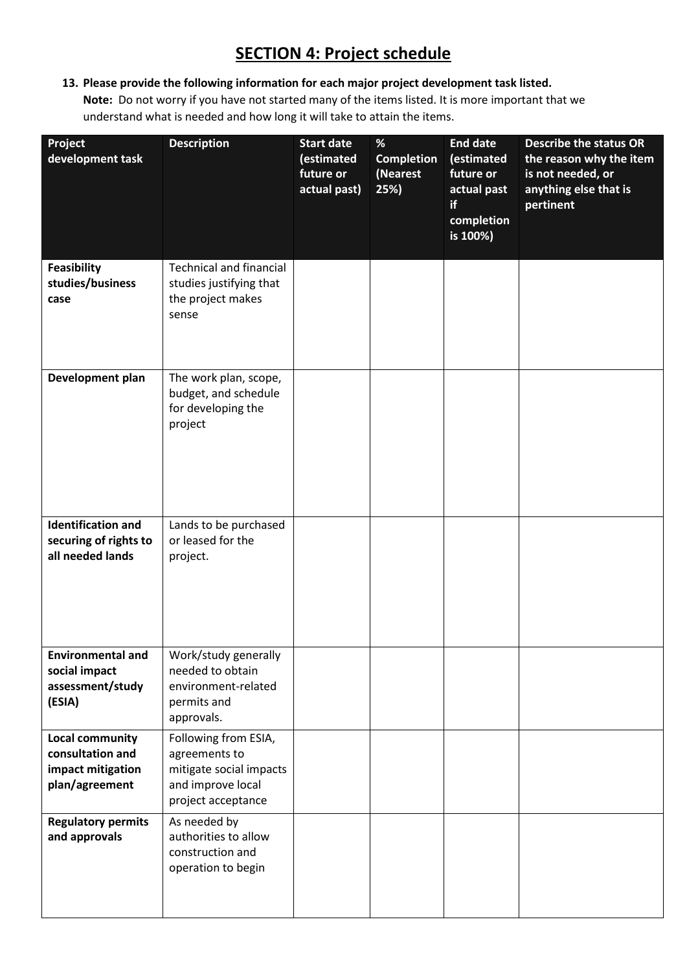# **SECTION 4: Project schedule**

**13. Please provide the following information for each major project development task listed. Note:** Do not worry if you have not started many of the items listed. It is more important that we understand what is needed and how long it will take to attain the items.

| Project<br>development task                                                       | <b>Description</b>                                                                                          | <b>Start date</b><br>(estimated<br>future or<br>actual past) | $\%$<br><b>Completion</b><br>(Nearest<br>25%) | <b>End date</b><br>(estimated<br>future or<br>actual past<br>if<br>completion<br>is 100%) | <b>Describe the status OR</b><br>the reason why the item<br>is not needed, or<br>anything else that is<br>pertinent |
|-----------------------------------------------------------------------------------|-------------------------------------------------------------------------------------------------------------|--------------------------------------------------------------|-----------------------------------------------|-------------------------------------------------------------------------------------------|---------------------------------------------------------------------------------------------------------------------|
| Feasibility<br>studies/business<br>case                                           | <b>Technical and financial</b><br>studies justifying that<br>the project makes<br>sense                     |                                                              |                                               |                                                                                           |                                                                                                                     |
| Development plan                                                                  | The work plan, scope,<br>budget, and schedule<br>for developing the<br>project                              |                                                              |                                               |                                                                                           |                                                                                                                     |
| <b>Identification and</b><br>securing of rights to<br>all needed lands            | Lands to be purchased<br>or leased for the<br>project.                                                      |                                                              |                                               |                                                                                           |                                                                                                                     |
| <b>Environmental and</b><br>social impact<br>assessment/study<br>(ESIA)           | Work/study generally<br>needed to obtain<br>environment-related<br>permits and<br>approvals.                |                                                              |                                               |                                                                                           |                                                                                                                     |
| <b>Local community</b><br>consultation and<br>impact mitigation<br>plan/agreement | Following from ESIA,<br>agreements to<br>mitigate social impacts<br>and improve local<br>project acceptance |                                                              |                                               |                                                                                           |                                                                                                                     |
| <b>Regulatory permits</b><br>and approvals                                        | As needed by<br>authorities to allow<br>construction and<br>operation to begin                              |                                                              |                                               |                                                                                           |                                                                                                                     |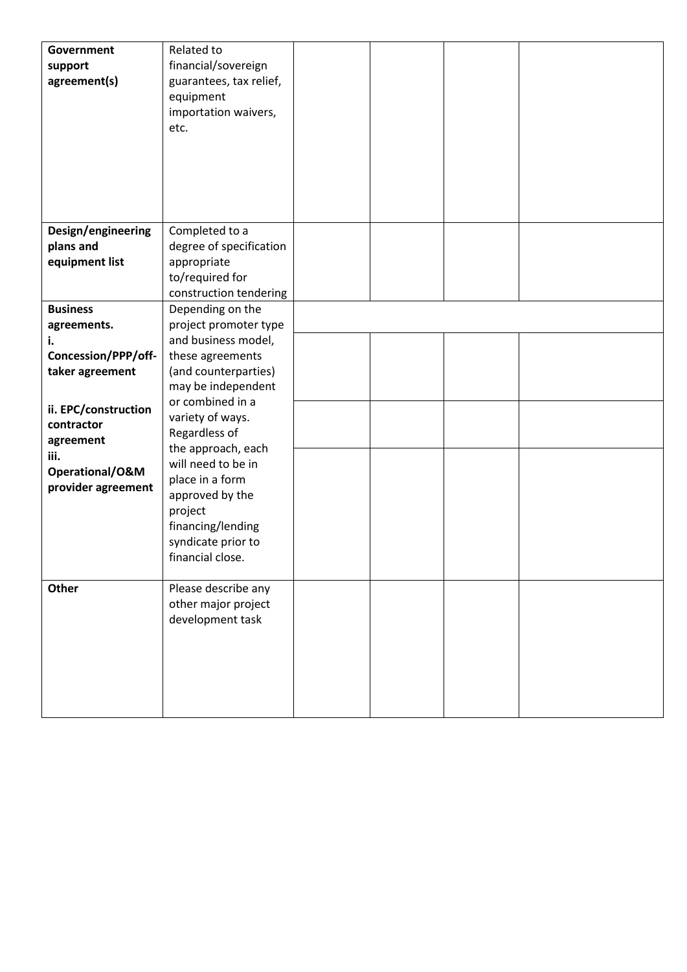| Government           | Related to              |  |  |
|----------------------|-------------------------|--|--|
| support              | financial/sovereign     |  |  |
| agreement(s)         | guarantees, tax relief, |  |  |
|                      |                         |  |  |
|                      | equipment               |  |  |
|                      | importation waivers,    |  |  |
|                      | etc.                    |  |  |
|                      |                         |  |  |
|                      |                         |  |  |
|                      |                         |  |  |
|                      |                         |  |  |
|                      |                         |  |  |
|                      |                         |  |  |
| Design/engineering   | Completed to a          |  |  |
| plans and            | degree of specification |  |  |
|                      |                         |  |  |
| equipment list       | appropriate             |  |  |
|                      | to/required for         |  |  |
|                      | construction tendering  |  |  |
| <b>Business</b>      | Depending on the        |  |  |
| agreements.          | project promoter type   |  |  |
| i.                   | and business model,     |  |  |
| Concession/PPP/off-  | these agreements        |  |  |
|                      | (and counterparties)    |  |  |
| taker agreement      |                         |  |  |
|                      | may be independent      |  |  |
| ii. EPC/construction | or combined in a        |  |  |
| contractor           | variety of ways.        |  |  |
|                      | Regardless of           |  |  |
| agreement            | the approach, each      |  |  |
| iii.                 | will need to be in      |  |  |
| Operational/O&M      | place in a form         |  |  |
| provider agreement   | approved by the         |  |  |
|                      |                         |  |  |
|                      | project                 |  |  |
|                      | financing/lending       |  |  |
|                      | syndicate prior to      |  |  |
|                      | financial close.        |  |  |
|                      |                         |  |  |
| <b>Other</b>         | Please describe any     |  |  |
|                      | other major project     |  |  |
|                      | development task        |  |  |
|                      |                         |  |  |
|                      |                         |  |  |
|                      |                         |  |  |
|                      |                         |  |  |
|                      |                         |  |  |
|                      |                         |  |  |
|                      |                         |  |  |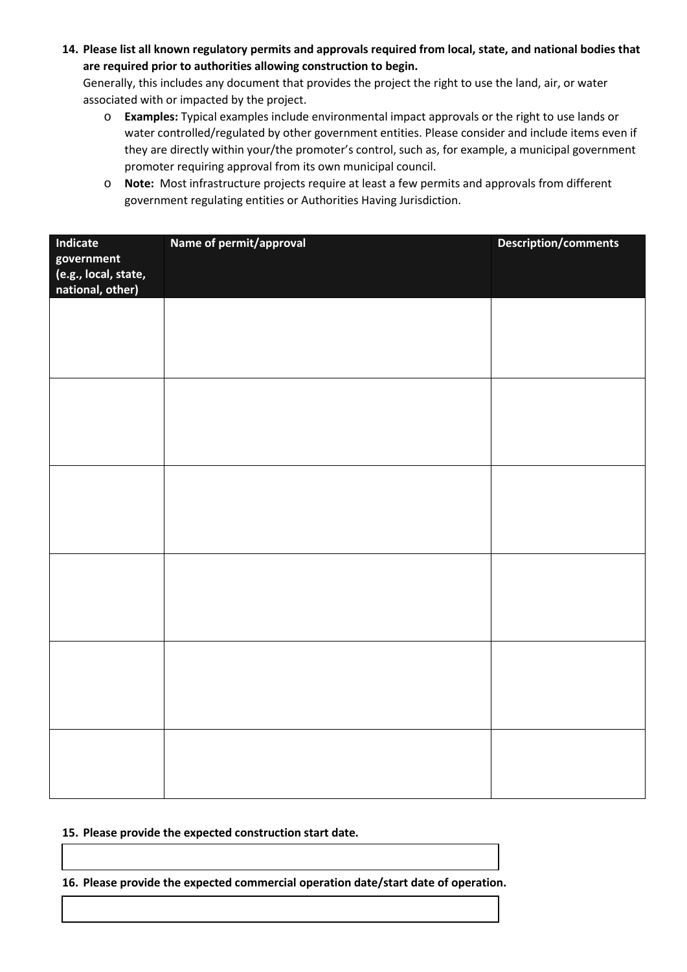**14. Please list all known regulatory permits and approvals required from local, state, and national bodies that are required prior to authorities allowing construction to begin.** 

Generally, this includes any document that provides the project the right to use the land, air, or water associated with or impacted by the project.

- o **Examples:** Typical examples include environmental impact approvals or the right to use lands or water controlled/regulated by other government entities. Please consider and include items even if they are directly within your/the promoter's control, such as, for example, a municipal government promoter requiring approval from its own municipal council.
- o **Note:** Most infrastructure projects require at least a few permits and approvals from different government regulating entities or Authorities Having Jurisdiction.

| Indicate<br>government<br>(e.g., local, state,<br>national, other) | Name of permit/approval | <b>Description/comments</b> |
|--------------------------------------------------------------------|-------------------------|-----------------------------|
|                                                                    |                         |                             |
|                                                                    |                         |                             |
|                                                                    |                         |                             |
|                                                                    |                         |                             |
|                                                                    |                         |                             |
|                                                                    |                         |                             |
|                                                                    |                         |                             |
|                                                                    |                         |                             |

#### **15. Please provide the expected construction start date.**

**16. Please provide the expected commercial operation date/start date of operation.**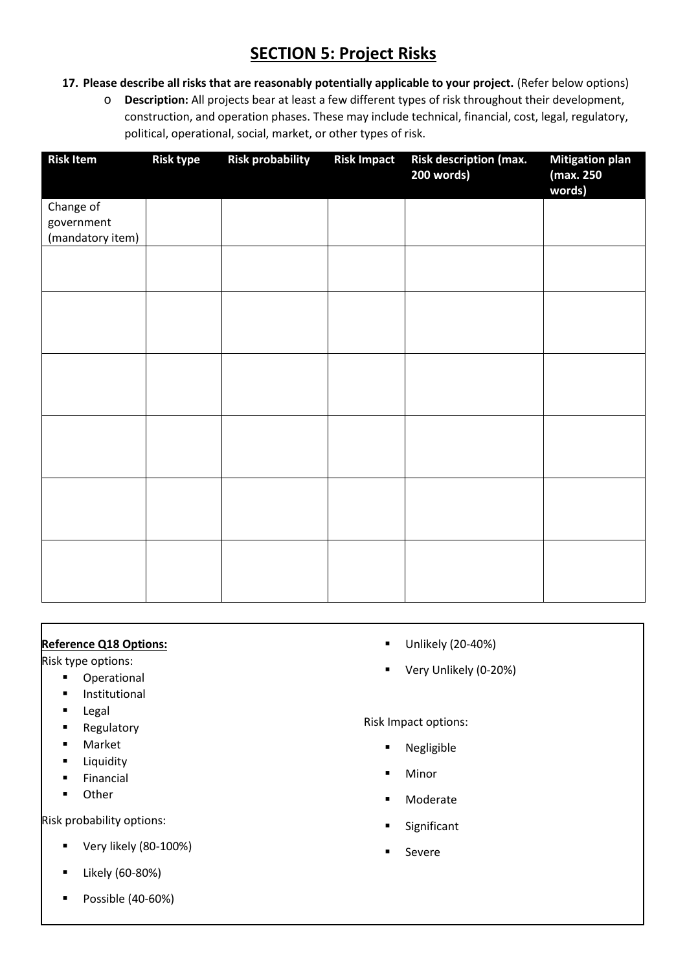# **SECTION 5: Project Risks**

- **17. Please describe all risks that are reasonably potentially applicable to your project.** (Refer below options)
	- o **Description:** All projects bear at least a few different types of risk throughout their development, construction, and operation phases. These may include technical, financial, cost, legal, regulatory, political, operational, social, market, or other types of risk.

| <b>Risk Item</b> | <b>Risk type</b> | <b>Risk probability</b> | <b>Risk Impact</b> | Risk description (max.<br>200 words) | <b>Mitigation plan</b><br>(max. 250<br>words) |
|------------------|------------------|-------------------------|--------------------|--------------------------------------|-----------------------------------------------|
| Change of        |                  |                         |                    |                                      |                                               |
| government       |                  |                         |                    |                                      |                                               |
| (mandatory item) |                  |                         |                    |                                      |                                               |
|                  |                  |                         |                    |                                      |                                               |
|                  |                  |                         |                    |                                      |                                               |
|                  |                  |                         |                    |                                      |                                               |
|                  |                  |                         |                    |                                      |                                               |
|                  |                  |                         |                    |                                      |                                               |
|                  |                  |                         |                    |                                      |                                               |
|                  |                  |                         |                    |                                      |                                               |
|                  |                  |                         |                    |                                      |                                               |
|                  |                  |                         |                    |                                      |                                               |
|                  |                  |                         |                    |                                      |                                               |
|                  |                  |                         |                    |                                      |                                               |

### **Reference Q18 Options:**

Risk type options:

- Operational
- Institutional
- Legal
- Regulatory
- Market
- **■** Liquidity
- Financial
- Other

Risk probability options:

- Very likely (80-100%)
- Likely (60-80%)
- Possible (40-60%)
- Unlikely (20-40%)
- Very Unlikely (0-20%)

#### Risk Impact options:

- Negligible
- Minor
- Moderate
- Significant
- Severe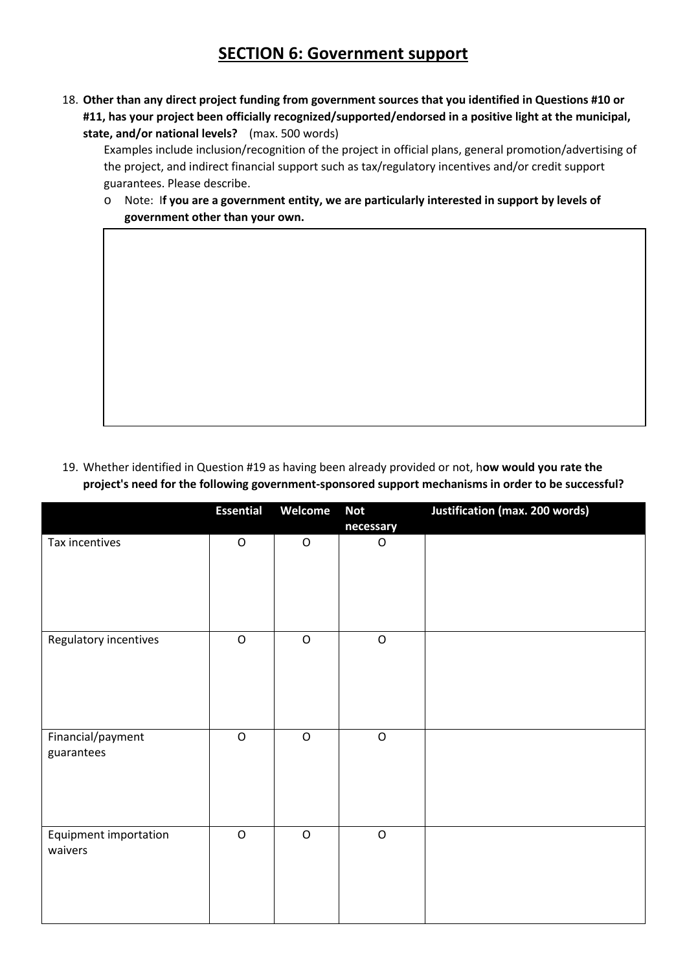## **SECTION 6: Government support**

18. **Other than any direct project funding from government sources that you identified in Questions #10 or #11, has your project been officially recognized/supported/endorsed in a positive light at the municipal, state, and/or national levels?** (max. 500 words)

Examples include inclusion/recognition of the project in official plans, general promotion/advertising of the project, and indirect financial support such as tax/regulatory incentives and/or credit support guarantees. Please describe.

o Note: I**f you are a government entity, we are particularly interested in support by levels of government other than your own.**

19. Whether identified in Question #19 as having been already provided or not, h**ow would you rate the project's need for the following government-sponsored support mechanisms in order to be successful?**

|                                         | <b>Essential</b> | Welcome     | <b>Not</b><br>necessary | <b>Justification (max. 200 words)</b> |
|-----------------------------------------|------------------|-------------|-------------------------|---------------------------------------|
| Tax incentives                          | $\mathsf O$      | $\mathsf O$ | ${\mathsf O}$           |                                       |
| Regulatory incentives                   | $\mathsf O$      | $\mathsf O$ | $\mathsf O$             |                                       |
| Financial/payment<br>guarantees         | $\mathsf O$      | $\mathsf O$ | $\mathsf O$             |                                       |
| <b>Equipment importation</b><br>waivers | $\mathsf O$      | $\mathsf O$ | $\mathsf O$             |                                       |